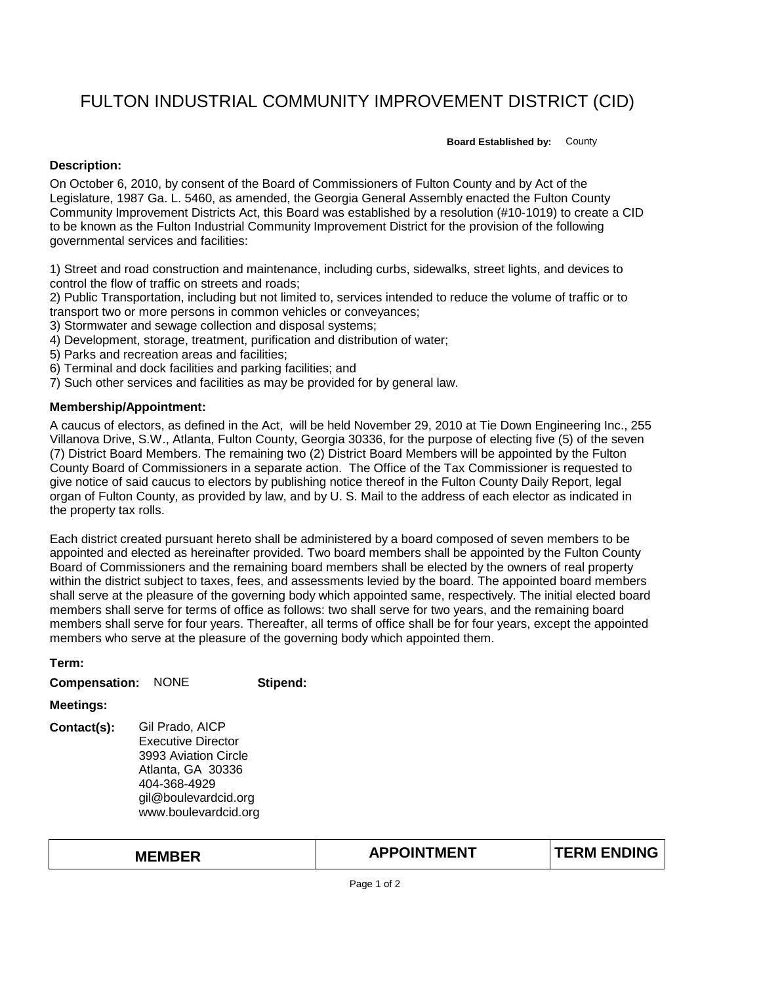## FULTON INDUSTRIAL COMMUNITY IMPROVEMENT DISTRICT (CID)

**Board Established by:** County

## **Description:**

On October 6, 2010, by consent of the Board of Commissioners of Fulton County and by Act of the Legislature, 1987 Ga. L. 5460, as amended, the Georgia General Assembly enacted the Fulton County Community Improvement Districts Act, this Board was established by a resolution (#10-1019) to create a CID to be known as the Fulton Industrial Community Improvement District for the provision of the following governmental services and facilities:

1) Street and road construction and maintenance, including curbs, sidewalks, street lights, and devices to control the flow of traffic on streets and roads;

2) Public Transportation, including but not limited to, services intended to reduce the volume of traffic or to transport two or more persons in common vehicles or conveyances;

3) Stormwater and sewage collection and disposal systems;

4) Development, storage, treatment, purification and distribution of water;

- 5) Parks and recreation areas and facilities;
- 6) Terminal and dock facilities and parking facilities; and
- 7) Such other services and facilities as may be provided for by general law.

## **Membership/Appointment:**

**Term:**

A caucus of electors, as defined in the Act, will be held November 29, 2010 at Tie Down Engineering Inc., 255 Villanova Drive, S.W., Atlanta, Fulton County, Georgia 30336, for the purpose of electing five (5) of the seven (7) District Board Members. The remaining two (2) District Board Members will be appointed by the Fulton County Board of Commissioners in a separate action. The Office of the Tax Commissioner is requested to give notice of said caucus to electors by publishing notice thereof in the Fulton County Daily Report, legal organ of Fulton County, as provided by law, and by U. S. Mail to the address of each elector as indicated in the property tax rolls.

Each district created pursuant hereto shall be administered by a board composed of seven members to be appointed and elected as hereinafter provided. Two board members shall be appointed by the Fulton County Board of Commissioners and the remaining board members shall be elected by the owners of real property within the district subject to taxes, fees, and assessments levied by the board. The appointed board members shall serve at the pleasure of the governing body which appointed same, respectively. The initial elected board members shall serve for terms of office as follows: two shall serve for two years, and the remaining board members shall serve for four years. Thereafter, all terms of office shall be for four years, except the appointed members who serve at the pleasure of the governing body which appointed them.

| генн.                |                                                                                                                                                    |          |
|----------------------|----------------------------------------------------------------------------------------------------------------------------------------------------|----------|
| <b>Compensation:</b> | <b>NONE</b>                                                                                                                                        | Stipend: |
| <b>Meetings:</b>     |                                                                                                                                                    |          |
| Contact(s):          | Gil Prado, AICP<br>Executive Director<br>3993 Aviation Circle<br>Atlanta, GA 30336<br>404-368-4929<br>gil@boulevardcid.org<br>www.boulevardcid.org |          |

**MEMBER TERM ENDING APPOINTMENT**